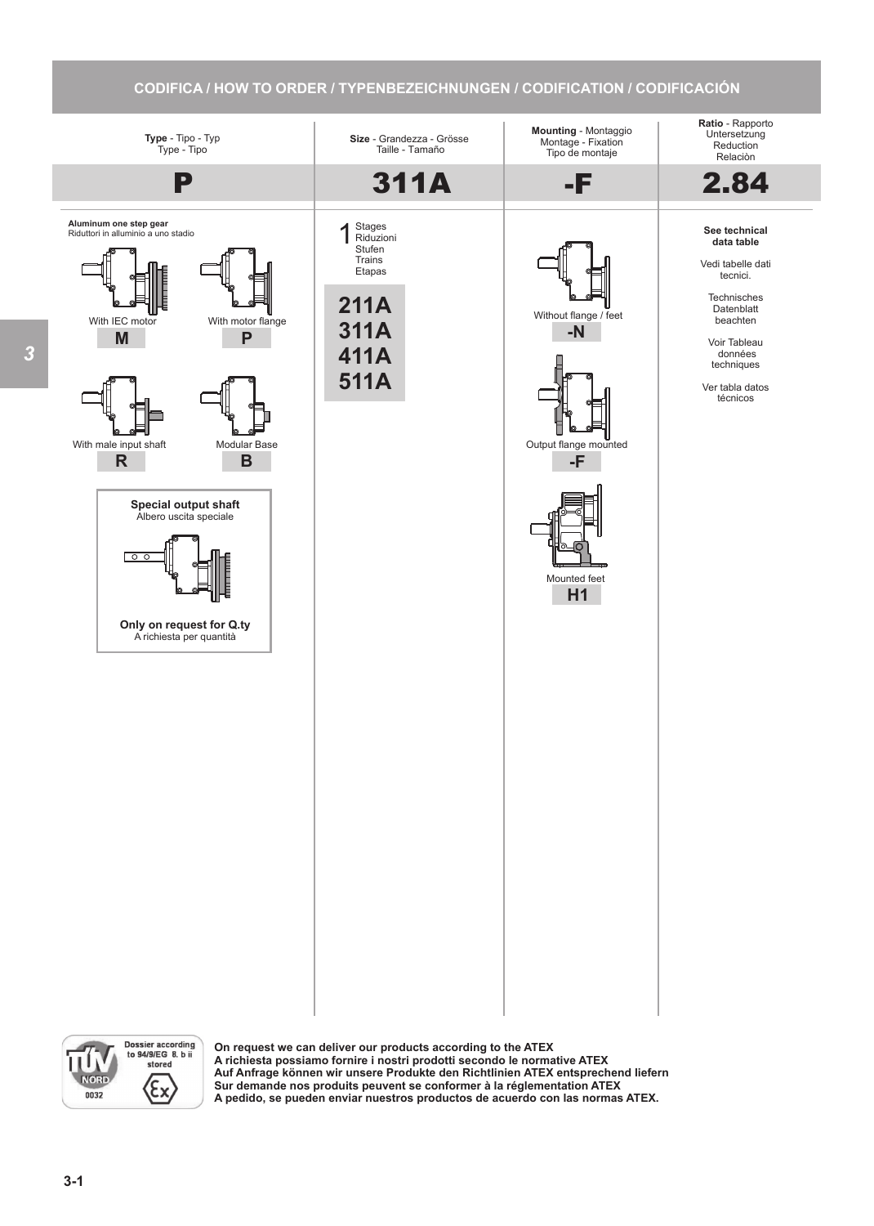## **CODIFICA / HOW TO ORDER / TYPENBEZEICHNUNGEN / CODIFICATION / CODIFICACIÓN**



Dossier according<br>to 94/9/EG 8. b ii U stored Mo  $\langle \varepsilon_{\mathsf{x}}$ 0032

**On request we can deliver our products according to the ATEX A richiesta possiamo fornire i nostri prodotti secondo le normative ATEX Auf Anfrage können wir unsere Produkte den Richtlinien ATEX entsprechend liefern Sur demande nos produits peuvent se conformer à la réglementation ATEX A pedido, se pueden enviar nuestros productos de acuerdo con las normas ATEX.**